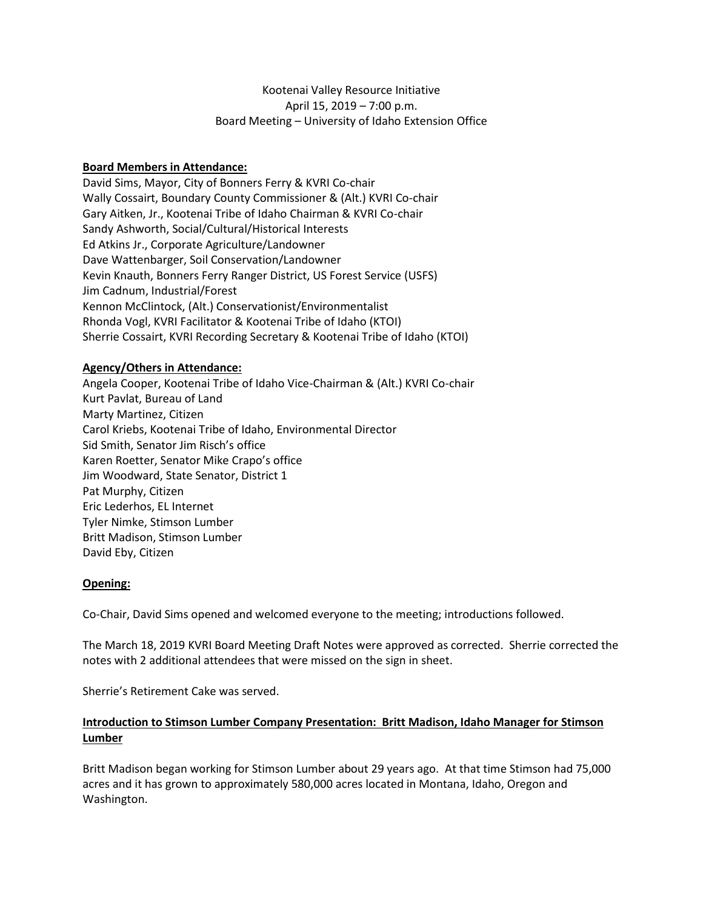# Kootenai Valley Resource Initiative April 15, 2019 – 7:00 p.m. Board Meeting – University of Idaho Extension Office

## **Board Members in Attendance:**

David Sims, Mayor, City of Bonners Ferry & KVRI Co-chair Wally Cossairt, Boundary County Commissioner & (Alt.) KVRI Co-chair Gary Aitken, Jr., Kootenai Tribe of Idaho Chairman & KVRI Co-chair Sandy Ashworth, Social/Cultural/Historical Interests Ed Atkins Jr., Corporate Agriculture/Landowner Dave Wattenbarger, Soil Conservation/Landowner Kevin Knauth, Bonners Ferry Ranger District, US Forest Service (USFS) Jim Cadnum, Industrial/Forest Kennon McClintock, (Alt.) Conservationist/Environmentalist Rhonda Vogl, KVRI Facilitator & Kootenai Tribe of Idaho (KTOI) Sherrie Cossairt, KVRI Recording Secretary & Kootenai Tribe of Idaho (KTOI)

## **Agency/Others in Attendance:**

Angela Cooper, Kootenai Tribe of Idaho Vice-Chairman & (Alt.) KVRI Co-chair Kurt Pavlat, Bureau of Land Marty Martinez, Citizen Carol Kriebs, Kootenai Tribe of Idaho, Environmental Director Sid Smith, Senator Jim Risch's office Karen Roetter, Senator Mike Crapo's office Jim Woodward, State Senator, District 1 Pat Murphy, Citizen Eric Lederhos, EL Internet Tyler Nimke, Stimson Lumber Britt Madison, Stimson Lumber David Eby, Citizen

## **Opening:**

Co-Chair, David Sims opened and welcomed everyone to the meeting; introductions followed.

The March 18, 2019 KVRI Board Meeting Draft Notes were approved as corrected. Sherrie corrected the notes with 2 additional attendees that were missed on the sign in sheet.

Sherrie's Retirement Cake was served.

## **Introduction to Stimson Lumber Company Presentation: Britt Madison, Idaho Manager for Stimson Lumber**

Britt Madison began working for Stimson Lumber about 29 years ago. At that time Stimson had 75,000 acres and it has grown to approximately 580,000 acres located in Montana, Idaho, Oregon and Washington.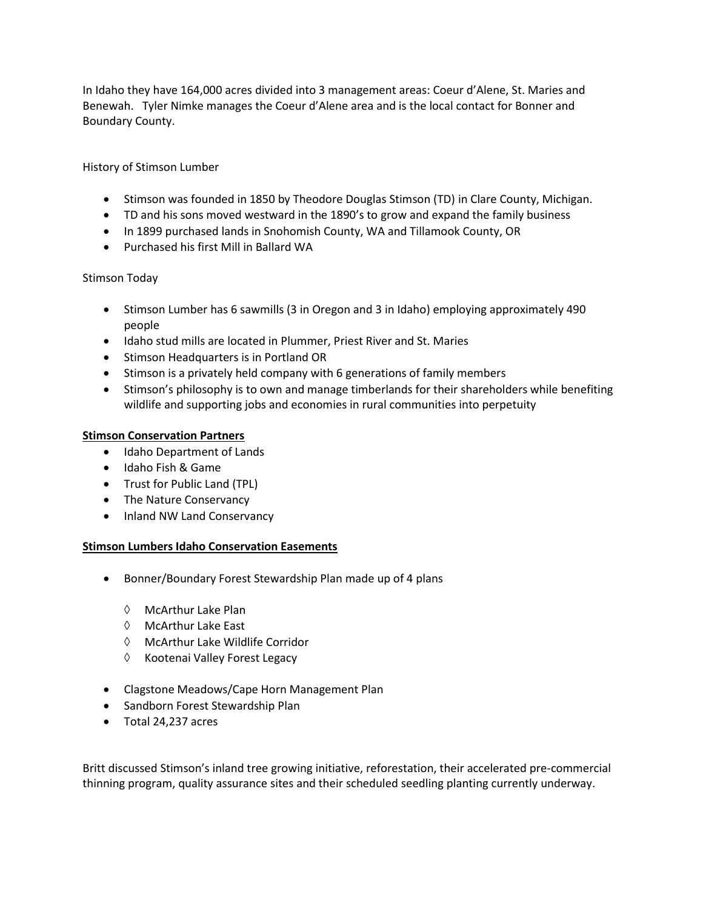In Idaho they have 164,000 acres divided into 3 management areas: Coeur d'Alene, St. Maries and Benewah. Tyler Nimke manages the Coeur d'Alene area and is the local contact for Bonner and Boundary County.

# History of Stimson Lumber

- Stimson was founded in 1850 by Theodore Douglas Stimson (TD) in Clare County, Michigan.
- TD and his sons moved westward in the 1890's to grow and expand the family business
- In 1899 purchased lands in Snohomish County, WA and Tillamook County, OR
- Purchased his first Mill in Ballard WA

## Stimson Today

- Stimson Lumber has 6 sawmills (3 in Oregon and 3 in Idaho) employing approximately 490 people
- Idaho stud mills are located in Plummer, Priest River and St. Maries
- Stimson Headquarters is in Portland OR
- Stimson is a privately held company with 6 generations of family members
- Stimson's philosophy is to own and manage timberlands for their shareholders while benefiting wildlife and supporting jobs and economies in rural communities into perpetuity

## **Stimson Conservation Partners**

- Idaho Department of Lands
- Idaho Fish & Game
- Trust for Public Land (TPL)
- The Nature Conservancy
- Inland NW Land Conservancy

## **Stimson Lumbers Idaho Conservation Easements**

- Bonner/Boundary Forest Stewardship Plan made up of 4 plans
	- $\Diamond$  McArthur Lake Plan
	- McArthur Lake East
	- McArthur Lake Wildlife Corridor
	- $\Diamond$  Kootenai Valley Forest Legacy
- Clagstone Meadows/Cape Horn Management Plan
- Sandborn Forest Stewardship Plan
- Total 24,237 acres

Britt discussed Stimson's inland tree growing initiative, reforestation, their accelerated pre-commercial thinning program, quality assurance sites and their scheduled seedling planting currently underway.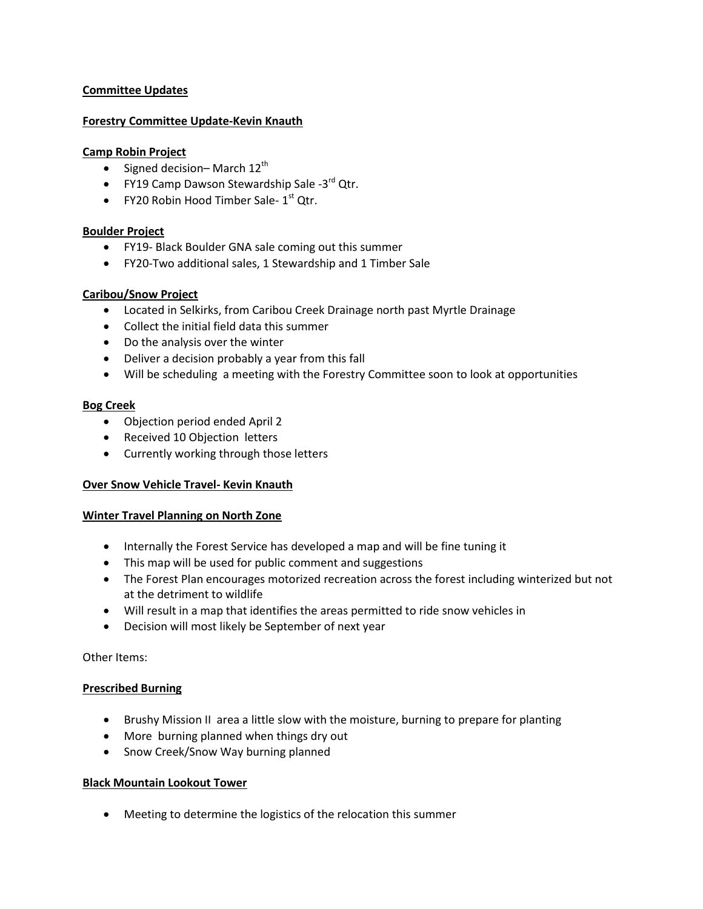## **Committee Updates**

## **Forestry Committee Update-Kevin Knauth**

#### **Camp Robin Project**

- $\bullet$  Signed decision-March 12<sup>th</sup>
- FY19 Camp Dawson Stewardship Sale -3<sup>rd</sup> Qtr.
- FY20 Robin Hood Timber Sale- $1<sup>st</sup>$  Qtr.

#### **Boulder Project**

- FY19- Black Boulder GNA sale coming out this summer
- FY20-Two additional sales, 1 Stewardship and 1 Timber Sale

## **Caribou/Snow Project**

- Located in Selkirks, from Caribou Creek Drainage north past Myrtle Drainage
- Collect the initial field data this summer
- Do the analysis over the winter
- Deliver a decision probably a year from this fall
- Will be scheduling a meeting with the Forestry Committee soon to look at opportunities

#### **Bog Creek**

- Objection period ended April 2
- Received 10 Objection letters
- Currently working through those letters

## **Over Snow Vehicle Travel- Kevin Knauth**

## **Winter Travel Planning on North Zone**

- Internally the Forest Service has developed a map and will be fine tuning it
- This map will be used for public comment and suggestions
- The Forest Plan encourages motorized recreation across the forest including winterized but not at the detriment to wildlife
- Will result in a map that identifies the areas permitted to ride snow vehicles in
- Decision will most likely be September of next year

Other Items:

# **Prescribed Burning**

- Brushy Mission II area a little slow with the moisture, burning to prepare for planting
- More burning planned when things dry out
- Snow Creek/Snow Way burning planned

## **Black Mountain Lookout Tower**

Meeting to determine the logistics of the relocation this summer